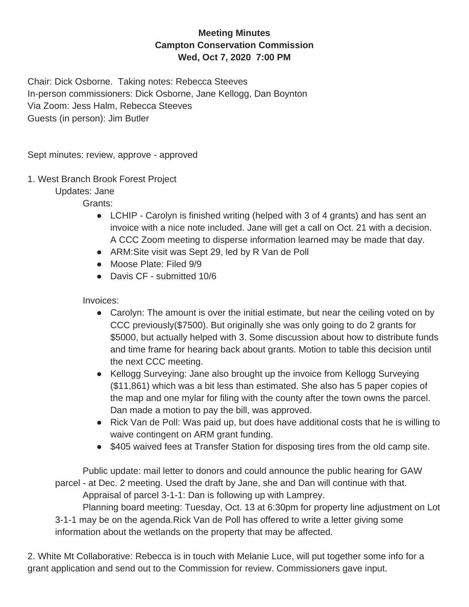## **Meeting Minutes Campton Conservation Commission Wed, Oct 7, 2020 7:00 PM**

Chair: Dick Osborne. Taking notes: Rebecca Steeves In-person commissioners: Dick Osborne, Jane Kellogg, Dan Boynton Via Zoom: Jess Halm, Rebecca Steeves Guests (in person): Jim Butler

Sept minutes: review, approve - approved

1. West Branch Brook Forest Project

Updates: Jane

Grants:

- LCHIP Carolyn is finished writing (helped with 3 of 4 grants) and has sent an invoice with a nice note included. Jane will get a call on Oct. 21 with a decision. A CCC Zoom meeting to disperse information learned may be made that day.
- ARM: Site visit was Sept 29, led by R Van de Poll
- Moose Plate: Filed 9/9
- Davis CF submitted 10/6

Invoices:

- Carolyn: The amount is over the initial estimate, but near the ceiling voted on by CCC previously(\$7500). But originally she was only going to do 2 grants for \$5000, but actually helped with 3. Some discussion about how to distribute funds and time frame for hearing back about grants. Motion to table this decision until the next CCC meeting.
- Kellogg Surveying: Jane also brought up the invoice from Kellogg Surveying (\$11,861) which was a bit less than estimated. She also has 5 paper copies of the map and one mylar for filing with the county after the town owns the parcel. Dan made a motion to pay the bill, was approved.
- Rick Van de Poll: Was paid up, but does have additional costs that he is willing to waive contingent on ARM grant funding.
- \$405 waived fees at Transfer Station for disposing tires from the old camp site.

Public update: mail letter to donors and could announce the public hearing for GAW parcel - at Dec. 2 meeting. Used the draft by Jane, she and Dan will continue with that. Appraisal of parcel 3-1-1: Dan is following up with Lamprey. Planning board meeting: Tuesday, Oct. 13 at 6:30pm for property line adjustment on Lot 3-1-1 may be on the agenda.Rick Van de Poll has offered to write a letter giving some information about the wetlands on the property that may be affected.

2. White Mt Collaborative: Rebecca is in touch with Melanie Luce, will put together some info for a grant application and send out to the Commission for review. Commissioners gave input.